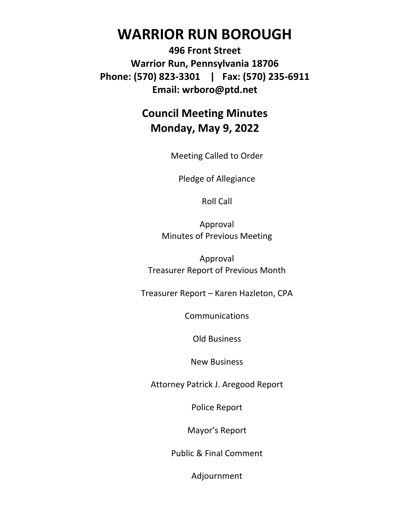# **WARRIOR RUN BOROUGH**

**496 Front Street Warrior Run, Pennsylvania 18706 Phone: (570) 823-3301 | Fax: (570) 235-6911 Email: wrboro@ptd.net**

## **Council Meeting Minutes Monday, May 9, 2022**

Meeting Called to Order

Pledge of Allegiance

Roll Call

Approval Minutes of Previous Meeting

Approval Treasurer Report of Previous Month

Treasurer Report – Karen Hazleton, CPA

**Communications** 

Old Business

New Business

Attorney Patrick J. Aregood Report

Police Report

Mayor's Report

Public & Final Comment

Adjournment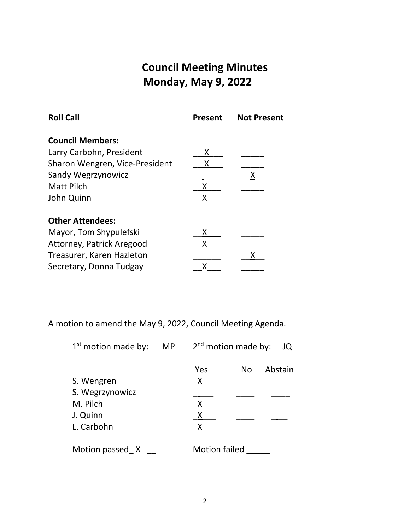## **Council Meeting Minutes Monday, May 9, 2022**

| <b>Roll Call</b>               | <b>Present</b> | <b>Not Present</b> |
|--------------------------------|----------------|--------------------|
| <b>Council Members:</b>        |                |                    |
| Larry Carbohn, President       | Χ              |                    |
| Sharon Wengren, Vice-President | Χ              |                    |
| Sandy Wegrzynowicz             |                | x                  |
| <b>Matt Pilch</b>              | Χ              |                    |
| John Quinn                     |                |                    |
| <b>Other Attendees:</b>        |                |                    |
| Mayor, Tom Shypulefski         | x              |                    |
| Attorney, Patrick Aregood      |                |                    |
| Treasurer, Karen Hazleton      |                |                    |
| Secretary, Donna Tudgay        |                |                    |

A motion to amend the May 9, 2022, Council Meeting Agenda.

| $1st$ motion made by: MP | $2nd$ motion made by: $JQ$ |     |         |
|--------------------------|----------------------------|-----|---------|
|                          | Yes                        | No. | Abstain |
| S. Wengren               | $\mathsf{X}$               |     |         |
| S. Wegrzynowicz          |                            |     |         |
| M. Pilch                 | X                          |     |         |
| J. Quinn                 |                            |     |         |
| L. Carbohn               |                            |     |         |
| Motion passed X          | <b>Motion failed</b>       |     |         |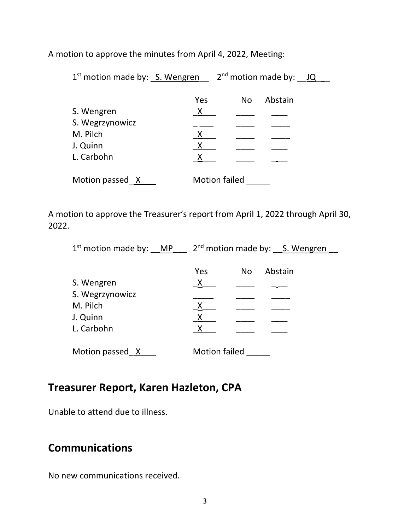A motion to approve the minutes from April 4, 2022, Meeting:

| $1st$ motion made by: S. Wengren |              | $2nd$ motion made by: JQ |         |  |
|----------------------------------|--------------|--------------------------|---------|--|
|                                  | Yes          | No.                      | Abstain |  |
| S. Wengren                       | X            |                          |         |  |
| S. Wegrzynowicz                  |              |                          |         |  |
| M. Pilch                         | X            |                          |         |  |
| J. Quinn                         | $\mathsf{X}$ |                          |         |  |
| L. Carbohn                       |              |                          |         |  |
| Motion passed X                  |              | <b>Motion failed</b>     |         |  |

A motion to approve the Treasurer's report from April 1, 2022 through April 30, 2022.

| $1st$ motion made by: MP | $2nd$ motion made by: S. Wengren |  |  |
|--------------------------|----------------------------------|--|--|
|                          |                                  |  |  |
|                          | Abstain<br>Yes<br>No.            |  |  |
| S. Wengren               | X                                |  |  |
| S. Wegrzynowicz          |                                  |  |  |
| M. Pilch                 | X                                |  |  |
| J. Quinn                 | Χ                                |  |  |
| L. Carbohn               | X                                |  |  |
|                          |                                  |  |  |
| Motion passed X          | <b>Motion failed</b>             |  |  |

#### **Treasurer Report, Karen Hazleton, CPA**

Unable to attend due to illness.

## **Communications**

No new communications received.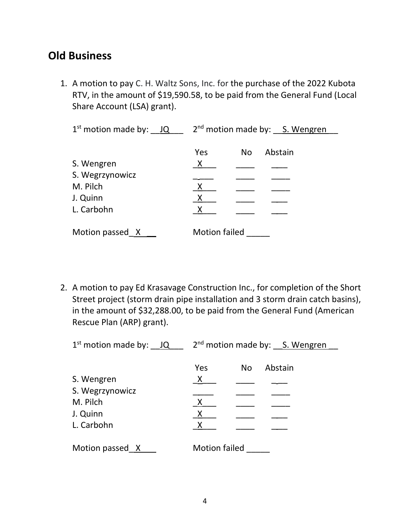#### **Old Business**

1. A motion to pay C. H. Waltz Sons, Inc. for the purchase of the 2022 Kubota RTV, in the amount of \$19,590.58, to be paid from the General Fund (Local Share Account (LSA) grant).

| $1st$ motion made by: $JQ$ | $2nd$ motion made by: S. Wengren |     |         |  |
|----------------------------|----------------------------------|-----|---------|--|
|                            |                                  |     |         |  |
|                            | Yes                              | No. | Abstain |  |
| S. Wengren                 | X                                |     |         |  |
| S. Wegrzynowicz            |                                  |     |         |  |
| M. Pilch                   | X                                |     |         |  |
| J. Quinn                   | X                                |     |         |  |
| L. Carbohn                 |                                  |     |         |  |
|                            |                                  |     |         |  |
| Motion passed X            | <b>Motion failed</b>             |     |         |  |

2. A motion to pay Ed Krasavage Construction Inc., for completion of the Short Street project (storm drain pipe installation and 3 storm drain catch basins), in the amount of \$32,288.00, to be paid from the General Fund (American Rescue Plan (ARP) grant).

| $1st$ motion made by: $JQ$ | 2 <sup>nd</sup> motion made by: S. Wengren |                |         |  |
|----------------------------|--------------------------------------------|----------------|---------|--|
|                            |                                            |                |         |  |
|                            | Yes                                        | N <sub>o</sub> | Abstain |  |
| S. Wengren                 | X                                          |                |         |  |
| S. Wegrzynowicz            |                                            |                |         |  |
| M. Pilch                   | X                                          |                |         |  |
| J. Quinn                   | X                                          |                |         |  |
| L. Carbohn                 |                                            |                |         |  |
|                            |                                            |                |         |  |
| Motion passed X            | <b>Motion failed</b>                       |                |         |  |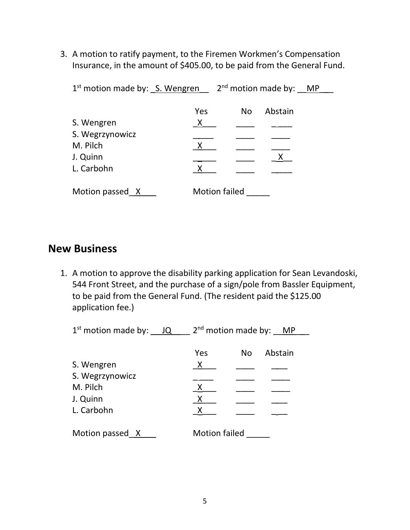3. A motion to ratify payment, to the Firemen Workmen's Compensation Insurance, in the amount of \$405.00, to be paid from the General Fund.

| $1st$ motion made by: $S.$ Wengren |                           | $2nd$ motion made by: MP |         |  |
|------------------------------------|---------------------------|--------------------------|---------|--|
|                                    | Yes                       | <b>No</b>                | Abstain |  |
| S. Wengren                         | $\boldsymbol{\mathsf{X}}$ |                          |         |  |
| S. Wegrzynowicz                    |                           |                          |         |  |
| M. Pilch                           | $\mathsf{X}$              |                          |         |  |
| J. Quinn                           |                           |                          |         |  |
| L. Carbohn                         | $\mathsf{X}$              |                          |         |  |
| Motion passed X                    |                           | <b>Motion failed</b>     |         |  |

#### **New Business**

1. A motion to approve the disability parking application for Sean Levandoski, 544 Front Street, and the purchase of a sign/pole from Bassler Equipment, to be paid from the General Fund. (The resident paid the \$125.00 application fee.)

 $1<sup>st</sup>$  motion made by:  $\underline{\hspace{1em}\rule{0.1ex}{1.5pt}}\hspace{1.5pt}1Q$   $\underline{\hspace{1em}\rule{0.1ex}{1.5pt}}\hspace{1.5pt}2<sup>nd</sup>$  motion made by:  $\underline{\hspace{1em}\rule{0.1ex}{1.5pt}}\hspace{1.5pt}MP$ Yes No Abstain S. Wengren \_X\_\_\_ \_\_\_\_ \_ \_\_ S. Wegrzynowicz M. Pilch X J. Quinn L. Carbohn Motion passed\_X \_\_\_ Motion failed \_\_\_\_\_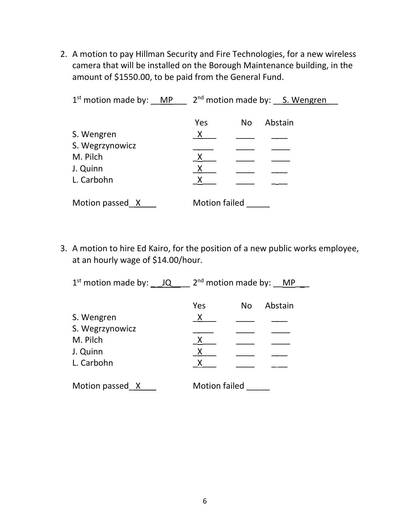2. A motion to pay Hillman Security and Fire Technologies, for a new wireless camera that will be installed on the Borough Maintenance building, in the amount of \$1550.00, to be paid from the General Fund.

| $1st$ motion made by: MP | 2 <sup>nd</sup> motion made by: S. Wengren |     |         |  |
|--------------------------|--------------------------------------------|-----|---------|--|
|                          |                                            |     |         |  |
|                          | Yes                                        | No. | Abstain |  |
| S. Wengren               | X                                          |     |         |  |
| S. Wegrzynowicz          |                                            |     |         |  |
| M. Pilch                 | X                                          |     |         |  |
| J. Quinn                 | X                                          |     |         |  |
| L. Carbohn               |                                            |     |         |  |
|                          |                                            |     |         |  |
| Motion passed X          | <b>Motion failed</b>                       |     |         |  |

3. A motion to hire Ed Kairo, for the position of a new public works employee, at an hourly wage of \$14.00/hour.

| $1st$ motion made by: $JQ$ | $2nd$ motion made by: MP |
|----------------------------|--------------------------|
|                            | Abstain<br>Yes<br>No.    |
| S. Wengren                 | X                        |
| S. Wegrzynowicz            |                          |
| M. Pilch                   | X                        |
| J. Quinn                   | X                        |
| L. Carbohn                 | X                        |
| Motion passed X            | <b>Motion failed</b>     |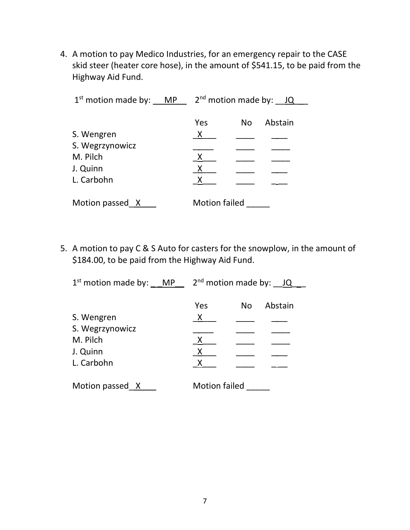4. A motion to pay Medico Industries, for an emergency repair to the CASE skid steer (heater core hose), in the amount of \$541.15, to be paid from the Highway Aid Fund.

| $1st$ motion made by: MP                                            | $2nd$ motion made by: JQ                                              |  |  |
|---------------------------------------------------------------------|-----------------------------------------------------------------------|--|--|
| S. Wengren<br>S. Wegrzynowicz<br>M. Pilch<br>J. Quinn<br>L. Carbohn | Yes<br>Abstain<br><b>No</b><br>X<br>$\mathsf{X}$<br>$\mathsf{X}$<br>X |  |  |
| Motion passed X                                                     | <b>Motion failed</b>                                                  |  |  |

5. A motion to pay C & S Auto for casters for the snowplow, in the amount of \$184.00, to be paid from the Highway Aid Fund.

| $1st$ motion made by: MP                                            | $2nd$ motion made by: $JQ$                    |     |         |  |
|---------------------------------------------------------------------|-----------------------------------------------|-----|---------|--|
| S. Wengren<br>S. Wegrzynowicz<br>M. Pilch<br>J. Quinn<br>L. Carbohn | Yes<br>X<br>$\mathsf{X}$<br>$\mathsf{X}$<br>X | No. | Abstain |  |
| Motion passed X                                                     | <b>Motion failed</b>                          |     |         |  |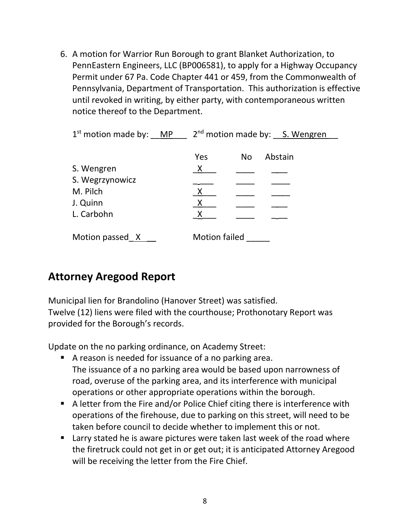6. A motion for Warrior Run Borough to grant Blanket Authorization, to PennEastern Engineers, LLC (BP006581), to apply for a Highway Occupancy Permit under 67 Pa. Code Chapter 441 or 459, from the Commonwealth of Pennsylvania, Department of Transportation. This authorization is effective until revoked in writing, by either party, with contemporaneous written notice thereof to the Department.

| $1st$ motion made by: MP | 2 <sup>nd</sup> motion made by: S. Wengren |     |         |
|--------------------------|--------------------------------------------|-----|---------|
|                          |                                            |     |         |
|                          | Yes                                        | No. | Abstain |
| S. Wengren               | X                                          |     |         |
| S. Wegrzynowicz          |                                            |     |         |
| M. Pilch                 | Χ                                          |     |         |
| J. Quinn                 | X                                          |     |         |
| L. Carbohn               | X                                          |     |         |
| Motion passed X          | <b>Motion failed</b>                       |     |         |
|                          |                                            |     |         |

## **Attorney Aregood Report**

Municipal lien for Brandolino (Hanover Street) was satisfied. Twelve (12) liens were filed with the courthouse; Prothonotary Report was provided for the Borough's records.

Update on the no parking ordinance, on Academy Street:

- A reason is needed for issuance of a no parking area. The issuance of a no parking area would be based upon narrowness of road, overuse of the parking area, and its interference with municipal operations or other appropriate operations within the borough.
- A letter from the Fire and/or Police Chief citing there is interference with operations of the firehouse, due to parking on this street, will need to be taken before council to decide whether to implement this or not.
- Larry stated he is aware pictures were taken last week of the road where the firetruck could not get in or get out; it is anticipated Attorney Aregood will be receiving the letter from the Fire Chief.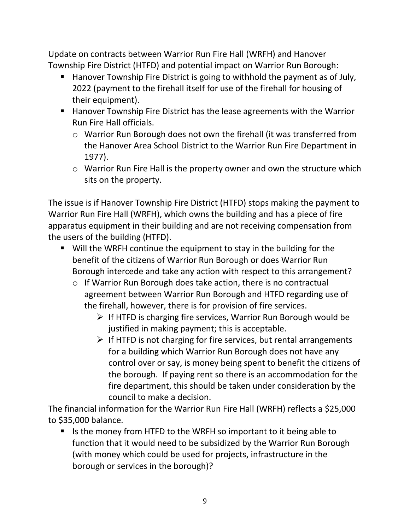Update on contracts between Warrior Run Fire Hall (WRFH) and Hanover Township Fire District (HTFD) and potential impact on Warrior Run Borough:

- Hanover Township Fire District is going to withhold the payment as of July, 2022 (payment to the firehall itself for use of the firehall for housing of their equipment).
- Hanover Township Fire District has the lease agreements with the Warrior Run Fire Hall officials.
	- o Warrior Run Borough does not own the firehall (it was transferred from the Hanover Area School District to the Warrior Run Fire Department in 1977).
	- o Warrior Run Fire Hall is the property owner and own the structure which sits on the property.

The issue is if Hanover Township Fire District (HTFD) stops making the payment to Warrior Run Fire Hall (WRFH), which owns the building and has a piece of fire apparatus equipment in their building and are not receiving compensation from the users of the building (HTFD).

- Will the WRFH continue the equipment to stay in the building for the benefit of the citizens of Warrior Run Borough or does Warrior Run Borough intercede and take any action with respect to this arrangement?
	- o If Warrior Run Borough does take action, there is no contractual agreement between Warrior Run Borough and HTFD regarding use of the firehall, however, there is for provision of fire services.
		- ➢ If HTFD is charging fire services, Warrior Run Borough would be justified in making payment; this is acceptable.
		- $\triangleright$  If HTFD is not charging for fire services, but rental arrangements for a building which Warrior Run Borough does not have any control over or say, is money being spent to benefit the citizens of the borough. If paying rent so there is an accommodation for the fire department, this should be taken under consideration by the council to make a decision.

The financial information for the Warrior Run Fire Hall (WRFH) reflects a \$25,000 to \$35,000 balance.

■ Is the money from HTFD to the WRFH so important to it being able to function that it would need to be subsidized by the Warrior Run Borough (with money which could be used for projects, infrastructure in the borough or services in the borough)?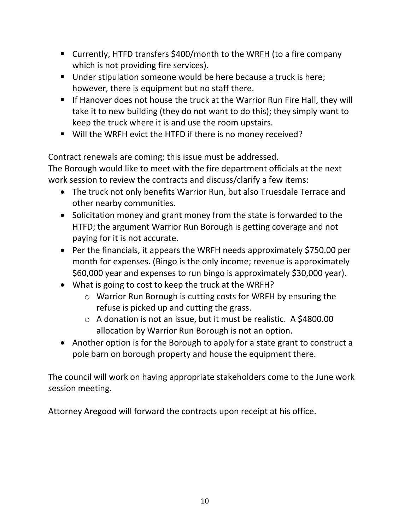- Currently, HTFD transfers \$400/month to the WRFH (to a fire company which is not providing fire services).
- Under stipulation someone would be here because a truck is here; however, there is equipment but no staff there.
- **E** If Hanover does not house the truck at the Warrior Run Fire Hall, they will take it to new building (they do not want to do this); they simply want to keep the truck where it is and use the room upstairs.
- Will the WRFH evict the HTFD if there is no money received?

Contract renewals are coming; this issue must be addressed.

The Borough would like to meet with the fire department officials at the next work session to review the contracts and discuss/clarify a few items:

- The truck not only benefits Warrior Run, but also Truesdale Terrace and other nearby communities.
- Solicitation money and grant money from the state is forwarded to the HTFD; the argument Warrior Run Borough is getting coverage and not paying for it is not accurate.
- Per the financials, it appears the WRFH needs approximately \$750.00 per month for expenses. (Bingo is the only income; revenue is approximately \$60,000 year and expenses to run bingo is approximately \$30,000 year).
- What is going to cost to keep the truck at the WRFH?
	- o Warrior Run Borough is cutting costs for WRFH by ensuring the refuse is picked up and cutting the grass.
	- $\circ$  A donation is not an issue, but it must be realistic. A \$4800.00 allocation by Warrior Run Borough is not an option.
- Another option is for the Borough to apply for a state grant to construct a pole barn on borough property and house the equipment there.

The council will work on having appropriate stakeholders come to the June work session meeting.

Attorney Aregood will forward the contracts upon receipt at his office.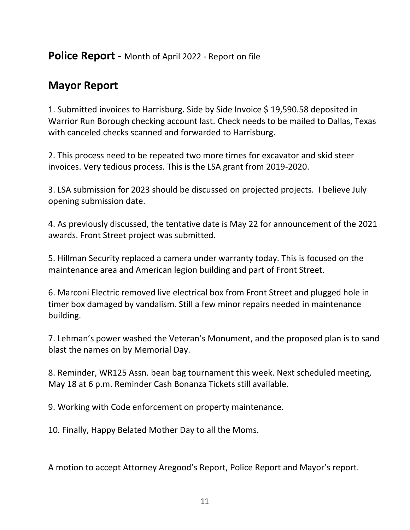#### **Police Report -** Month of April 2022 - Report on file

## **Mayor Report**

1. Submitted invoices to Harrisburg. Side by Side Invoice \$ 19,590.58 deposited in Warrior Run Borough checking account last. Check needs to be mailed to Dallas, Texas with canceled checks scanned and forwarded to Harrisburg.

2. This process need to be repeated two more times for excavator and skid steer invoices. Very tedious process. This is the LSA grant from 2019-2020.

3. LSA submission for 2023 should be discussed on projected projects. I believe July opening submission date.

4. As previously discussed, the tentative date is May 22 for announcement of the 2021 awards. Front Street project was submitted.

5. Hillman Security replaced a camera under warranty today. This is focused on the maintenance area and American legion building and part of Front Street.

6. Marconi Electric removed live electrical box from Front Street and plugged hole in timer box damaged by vandalism. Still a few minor repairs needed in maintenance building.

7. Lehman's power washed the Veteran's Monument, and the proposed plan is to sand blast the names on by Memorial Day.

8. Reminder, WR125 Assn. bean bag tournament this week. Next scheduled meeting, May 18 at 6 p.m. Reminder Cash Bonanza Tickets still available.

9. Working with Code enforcement on property maintenance.

10. Finally, Happy Belated Mother Day to all the Moms.

A motion to accept Attorney Aregood's Report, Police Report and Mayor's report.